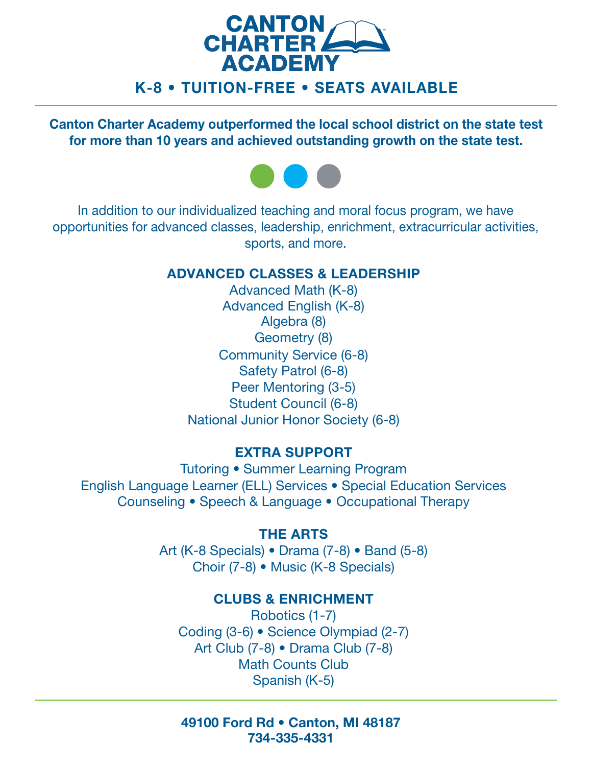

# K-8 • TUITION-FREE • SEATS AVAILABLE

Canton Charter Academy outperformed the local school district on the state test for more than 10 years and achieved outstanding growth on the state test.



 sports, and more. In addition to our individualized teaching and moral focus program, we have opportunities for advanced classes, leadership, enrichment, extracurricular activities,

### ADVANCED CLASSES & LEADERSHIP

Geometry (8) Student Council (6-8) Advanced Math (K-8) Advanced English (K-8) Algebra (8) Community Service (6-8) Safety Patrol (6-8) Peer Mentoring (3-5) National Junior Honor Society (6-8)

## EXTRA SUPPORT

Tutoring • Summer Learning Program English Language Learner (ELL) Services • Special Education Services Counseling • Speech & Language • Occupational Therapy

## THE ARTS

Art (K-8 Specials) • Drama (7-8) • Band (5-8) Choir (7-8) • Music (K-8 Specials)

### CLUBS & ENRICHMENT

Robotics (1-7) Coding (3-6) • Science Olympiad (2-7) Art Club (7-8) • Drama Club (7-8) Math Counts Club Spanish (K-5)

49100 Ford Rd • Canton, MI 48187 734-335-4331